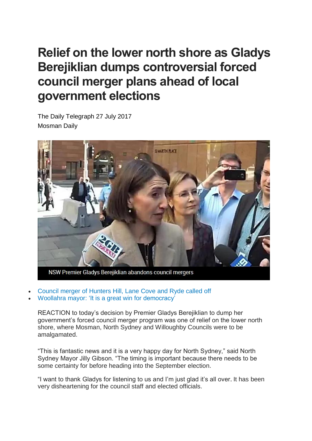## **Relief on the lower north shore as Gladys Berejiklian dumps controversial forced council merger plans ahead of local government elections**

The Daily Telegraph 27 July 2017 Mosman Daily



- Council merger of [Hunters](http://www.dailytelegraph.com.au/newslocal/northern-district-times/council-merger-of-hunters-hill-lane-cove-and-ryde-called-off/news-story/59d47289c8dc0354e7306ee8e21c63ef) Hill, Lane Cove and Ryde called off
- Woollahra mayor: 'It is a great win for [democracy'](http://www.dailytelegraph.com.au/newslocal/wentworth-courier/state-government-set-to-scrap-forced-amalgamations-including-eastern-suburbs-merger/news-story/6c0b823953313294e49b79f622f2439f)

REACTION to today's decision by Premier Gladys Berejiklian to dump her government's forced council merger program was one of relief on the lower north shore, where Mosman, North Sydney and Willoughby Councils were to be amalgamated.

"This is fantastic news and it is a very happy day for North Sydney," said North Sydney Mayor Jilly Gibson. "The timing is important because there needs to be some certainty for before heading into the September election.

"I want to thank Gladys for listening to us and I'm just glad it's all over. It has been very disheartening for the council staff and elected officials.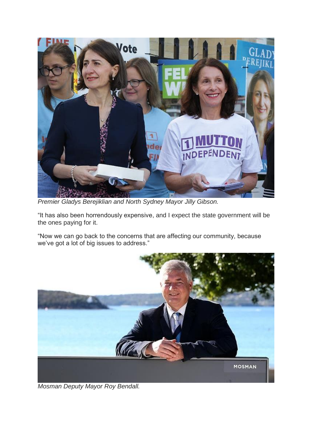

*Premier Gladys Berejiklian and North Sydney Mayor Jilly Gibson.*

"It has also been horrendously expensive, and I expect the state government will be the ones paying for it.

"Now we can go back to the concerns that are affecting our community, because we've got a lot of big issues to address."



*Mosman Deputy Mayor Roy Bendall.*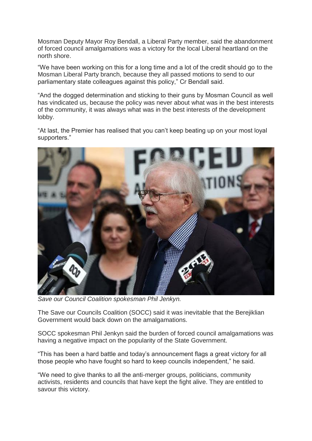Mosman Deputy Mayor Roy Bendall, a Liberal Party member, said the abandonment of forced council amalgamations was a victory for the local Liberal heartland on the north shore.

"We have been working on this for a long time and a lot of the credit should go to the Mosman Liberal Party branch, because they all passed motions to send to our parliamentary state colleagues against this policy," Cr Bendall said.

"And the dogged determination and sticking to their guns by Mosman Council as well has vindicated us, because the policy was never about what was in the best interests of the community, it was always what was in the best interests of the development lobby.

"At last, the Premier has realised that you can't keep beating up on your most loyal supporters."



*Save our Council Coalition spokesman Phil Jenkyn.*

The Save our Councils Coalition (SOCC) said it was inevitable that the Berejiklian Government would back down on the amalgamations.

SOCC spokesman Phil Jenkyn said the burden of forced council amalgamations was having a negative impact on the popularity of the State Government.

"This has been a hard battle and today's announcement flags a great victory for all those people who have fought so hard to keep councils independent," he said.

"We need to give thanks to all the anti-merger groups, politicians, community activists, residents and councils that have kept the fight alive. They are entitled to savour this victory.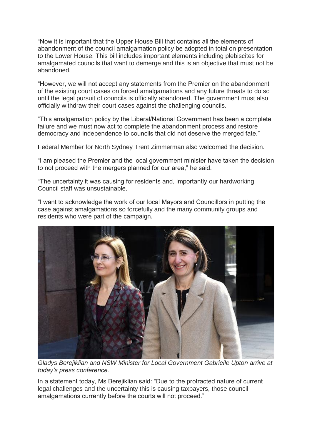"Now it is important that the Upper House Bill that contains all the elements of abandonment of the council amalgamation policy be adopted in total on presentation to the Lower House. This bill includes important elements including plebiscites for amalgamated councils that want to demerge and this is an objective that must not be abandoned.

"However, we will not accept any statements from the Premier on the abandonment of the existing court cases on forced amalgamations and any future threats to do so until the legal pursuit of councils is officially abandoned. The government must also officially withdraw their court cases against the challenging councils.

"This amalgamation policy by the Liberal/National Government has been a complete failure and we must now act to complete the abandonment process and restore democracy and independence to councils that did not deserve the merged fate."

Federal Member for North Sydney Trent Zimmerman also welcomed the decision.

"I am pleased the Premier and the local government minister have taken the decision to not proceed with the mergers planned for our area," he said.

"The uncertainty it was causing for residents and, importantly our hardworking Council staff was unsustainable.

"I want to acknowledge the work of our local Mayors and Councillors in putting the case against amalgamations so forcefully and the many community groups and residents who were part of the campaign.



*Gladys Berejiklian and NSW Minister for Local Government Gabrielle Upton arrive at today's press conference.*

In a statement today, Ms Berejiklian said: "Due to the protracted nature of current legal challenges and the uncertainty this is causing taxpayers, those council amalgamations currently before the courts will not proceed."